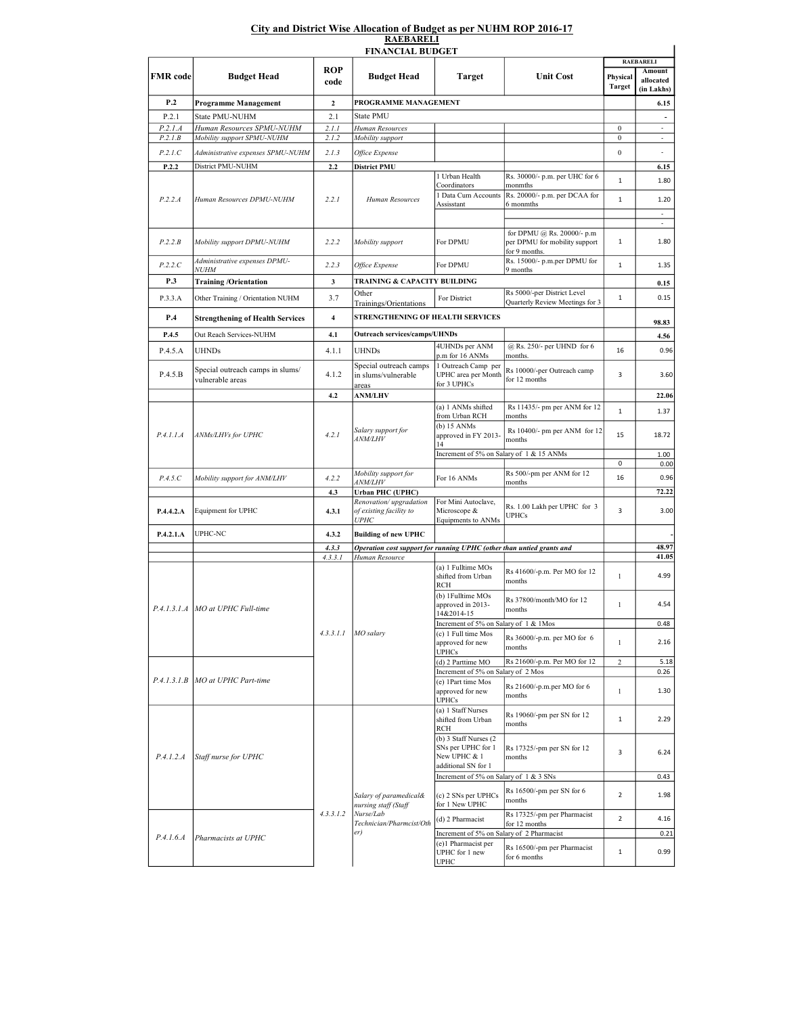## City and District Wise Allocation of Budget as per NUHM ROP 2016-17 RAEBARELI

| <b>FINANCIAL BUDGET</b> |                                                                          |                |                                                                                                |                                                                                            |                                                                              |                            |                          |  |  |  |  |  |
|-------------------------|--------------------------------------------------------------------------|----------------|------------------------------------------------------------------------------------------------|--------------------------------------------------------------------------------------------|------------------------------------------------------------------------------|----------------------------|--------------------------|--|--|--|--|--|
|                         | <b>Budget Head</b>                                                       | ROP<br>code    | <b>Budget Head</b>                                                                             | <b>Target</b>                                                                              | <b>Unit Cost</b>                                                             | <b>RAEBARELI</b><br>Amount |                          |  |  |  |  |  |
| <b>FMR</b> code         |                                                                          |                |                                                                                                |                                                                                            |                                                                              | Physical<br><b>Target</b>  | allocated<br>(in Lakhs)  |  |  |  |  |  |
| P.2                     | Programme Management                                                     | $\mathbf{2}$   | PROGRAMME MANAGEMENT                                                                           |                                                                                            |                                                                              |                            | 6.15                     |  |  |  |  |  |
| P.2.1                   | State PMU-NUHM                                                           | 2.1            | State PMU                                                                                      |                                                                                            |                                                                              |                            | $\overline{\phantom{a}}$ |  |  |  |  |  |
| P.2.1.A                 | Human Resources SPMU-NUHM                                                | 2.1.1          | Human Resources                                                                                |                                                                                            |                                                                              | $\boldsymbol{0}$           | $\sim$<br>$\sim$         |  |  |  |  |  |
| P.2.1.B                 | Mobility support SPMU-NUHM                                               | 2.1.2          | Mobility support                                                                               |                                                                                            |                                                                              | $\boldsymbol{0}$           |                          |  |  |  |  |  |
| P.2.1.C                 | Administrative expenses SPMU-NUHM                                        | 2.1.3          | Office Expense                                                                                 |                                                                                            |                                                                              | $\boldsymbol{0}$           | $\overline{\phantom{a}}$ |  |  |  |  |  |
| P.2.2                   | District PMU-NUHM                                                        | 2.2            | <b>District PMU</b>                                                                            | 1 Urban Health                                                                             | Rs. 30000/- p.m. per UHC for 6                                               |                            | 6.15                     |  |  |  |  |  |
|                         | Human Resources DPMU-NUHM                                                | 2.2.1          | Human Resources                                                                                | Coordinators                                                                               | monmths                                                                      | $\,1\,$                    | 1.80                     |  |  |  |  |  |
| P.2.2.A                 |                                                                          |                |                                                                                                | 1 Data Cum Accounts<br>Assisstant                                                          | Rs. 20000/- p.m. per DCAA for<br>6 monmths                                   | $\mathbf 1$                | 1.20<br>÷                |  |  |  |  |  |
|                         |                                                                          |                |                                                                                                |                                                                                            |                                                                              |                            | $\sim$                   |  |  |  |  |  |
| P.2.2.B                 | Mobility support DPMU-NUHM                                               | 2.2.2          | Mobility support                                                                               | For DPMU                                                                                   | for DPMU @ Rs. 20000/- p.m<br>per DPMU for mobility support<br>for 9 months. | $\mathbf{1}$               | 1.80                     |  |  |  |  |  |
| P.2.2.C                 | Administrative expenses DPMU-<br><i>NUHM</i>                             | 2.2.3          | Office Expense                                                                                 | For DPMU                                                                                   | Rs. 15000/- p.m.per DPMU for<br>9 months                                     | $\mathbf 1$                | 1.35                     |  |  |  |  |  |
| P.3                     | <b>Training/Orientation</b>                                              | 3              | TRAINING & CAPACITY BUILDING                                                                   |                                                                                            |                                                                              |                            | 0.15                     |  |  |  |  |  |
| P.3.3.A                 | Other Training / Orientation NUHM                                        | 3.7            | Other<br>Trainings/Orientations                                                                | For District                                                                               | Rs 5000/-per District Level<br>Quarterly Review Meetings for 3               | $\mathbf 1$                | 0.15                     |  |  |  |  |  |
| P.4                     | <b>Strengthening of Health Services</b>                                  | $\overline{4}$ | STRENGTHENING OF HEALTH SERVICES                                                               |                                                                                            |                                                                              |                            | 98.83                    |  |  |  |  |  |
| P.4.5                   | Out Reach Services-NUHM                                                  | 4.1            | <b>Outreach services/camps/UHNDs</b>                                                           |                                                                                            |                                                                              |                            | 4.56                     |  |  |  |  |  |
| P.4.5.A                 | <b>UHNDs</b>                                                             | 4.1.1          | UHNDs                                                                                          | 4UHNDs per ANM<br>p.m for 16 ANMs                                                          | @ Rs. 250/- per UHND for 6<br>months.                                        | 16                         | 0.96                     |  |  |  |  |  |
| P.4.5.B                 | Special outreach camps in slums/<br>vulnerable areas                     | 4.1.2          | Special outreach camps<br>in slums/vulnerable                                                  | 1 Outreach Camp per<br>UPHC area per Month                                                 | Rs 10000/-per Outreach camp<br>for 12 months                                 | 3                          | 3.60                     |  |  |  |  |  |
|                         |                                                                          | 4.2            | areas                                                                                          | for 3 UPHCs                                                                                |                                                                              |                            | 22.06                    |  |  |  |  |  |
|                         |                                                                          |                | <b>ANM/LHV</b><br>Salary support for<br><i>ANM/LHV</i>                                         | (a) 1 ANMs shifted<br>from Urban RCH                                                       | Rs 11435/- pm per ANM for 12<br>months                                       | $\,1\,$                    | 1.37                     |  |  |  |  |  |
| P.4.1.1.A               | ANMs/LHVs for UPHC                                                       | 4.2.1          |                                                                                                | (b) 15 ANMs<br>approved in FY 2013-<br>14                                                  | Rs 10400/- pm per ANM for 12<br>months                                       | 15                         | 18.72                    |  |  |  |  |  |
|                         |                                                                          |                |                                                                                                | Increment of 5% on Salary of 1 & 15 ANMs                                                   |                                                                              |                            | 1.00                     |  |  |  |  |  |
|                         |                                                                          |                | Mobility support for                                                                           |                                                                                            | Rs 500/-pm per ANM for 12                                                    | $\pmb{0}$                  | 0.00                     |  |  |  |  |  |
| P.4.5.C                 | Mobility support for ANM/LHV                                             | 4.2.2          | <i>ANM/LHV</i>                                                                                 | For 16 ANMs                                                                                | months                                                                       | 16                         | 0.96                     |  |  |  |  |  |
|                         |                                                                          | 4.3            | <b>Urban PHC (UPHC)</b><br>Renovation/upgradation                                              | For Mini Autoclave,                                                                        |                                                                              |                            | 72.22                    |  |  |  |  |  |
| P.4.4.2.A               | Equipment for UPHC                                                       | 4.3.1          | of existing facility to<br><b>UPHC</b>                                                         | Microscope &<br>Equipments to ANMs                                                         | Rs. 1.00 Lakh per UPHC for 3<br>UPHCs                                        | 3                          | 3.00                     |  |  |  |  |  |
| P.4.2.1.A               | UPHC-NC                                                                  | 4.3.2          | <b>Building of new UPHC</b>                                                                    |                                                                                            |                                                                              |                            |                          |  |  |  |  |  |
|                         |                                                                          | 4.3.3          | Operation cost support for running UPHC (other than untied grants and                          |                                                                                            |                                                                              |                            | 48.97                    |  |  |  |  |  |
|                         |                                                                          | 4.3.3.1        | Human Resource                                                                                 | (a) 1 Fulltime MOs                                                                         |                                                                              |                            | 41.05                    |  |  |  |  |  |
|                         | P.4.1.3.1.A   MO at UPHC Full-time<br>P.4.1.3.1.B   MO at UPHC Part-time | 4.3.3.1.1      | MO salarv                                                                                      | shifted from Urban<br>RCH                                                                  | Rs 41600/-p.m. Per MO for 12<br>months                                       | $\mathbf{1}$               | 4.99                     |  |  |  |  |  |
|                         |                                                                          |                |                                                                                                | (b) 1Fulltime MOs<br>approved in 2013-<br>14&2014-15                                       | Rs 37800/month/MO for 12<br>months                                           | 1                          | 4.54                     |  |  |  |  |  |
|                         |                                                                          |                |                                                                                                | Increment of 5% on Salary of 1 & 1Mos                                                      |                                                                              |                            | 0.48                     |  |  |  |  |  |
|                         |                                                                          |                |                                                                                                | (c) 1 Full time Mos<br>approved for new<br><b>UPHCs</b>                                    | Rs 36000/-p.m. per MO for 6<br>months                                        | 1                          | 2.16                     |  |  |  |  |  |
|                         |                                                                          |                |                                                                                                | (d) 2 Parttime MO                                                                          | Rs 21600/-p.m. Per MO for 12                                                 | $\overline{c}$             | 5.18                     |  |  |  |  |  |
|                         |                                                                          |                |                                                                                                | Increment of 5% on Salary of 2 Mos                                                         |                                                                              |                            | 0.26                     |  |  |  |  |  |
|                         |                                                                          |                |                                                                                                | (e) 1Part time Mos<br>approved for new<br><b>UPHCs</b>                                     | Rs 21600/-p.m.per MO for 6<br>months                                         | 1                          | 1.30                     |  |  |  |  |  |
| P.4.1.2.A               | Staff nurse for UPHC                                                     | 4.3.3.1.2      | Salary of paramedical&<br>nursing staff (Staff<br>Nurse/Lab<br>Technician/Pharmcist/Oth<br>er) | (a) 1 Staff Nurses<br>shifted from Urban                                                   | Rs 19060/-pm per SN for 12<br>months                                         | $\mathbf{1}$               | 2.29                     |  |  |  |  |  |
|                         |                                                                          |                |                                                                                                | RCH<br>(b) 3 Staff Nurses (2)<br>SNs per UPHC for 1<br>New UPHC & 1<br>additional SN for 1 | Rs 17325/-pm per SN for 12<br>months                                         | 3                          | 6.24                     |  |  |  |  |  |
|                         |                                                                          |                |                                                                                                | Increment of 5% on Salary of 1 & 3 SNs                                                     |                                                                              |                            | 0.43                     |  |  |  |  |  |
|                         |                                                                          |                |                                                                                                | (c) 2 SNs per UPHCs<br>for 1 New UPHC                                                      | Rs 16500/-pm per SN for 6<br>months                                          | $\overline{2}$             | 1.98                     |  |  |  |  |  |
|                         |                                                                          |                |                                                                                                | (d) 2 Pharmacist                                                                           | Rs 17325/-pm per Pharmacist                                                  | $\overline{2}$             | 4.16                     |  |  |  |  |  |
| P.4.1.6.A               | Pharmacists at UPHC                                                      |                |                                                                                                | Increment of 5% on Salary of 2 Pharmacist                                                  | for 12 months                                                                |                            | 0.21                     |  |  |  |  |  |
|                         |                                                                          |                |                                                                                                | (e)1 Pharmacist per                                                                        | Rs 16500/-pm per Pharmacist                                                  |                            |                          |  |  |  |  |  |
|                         |                                                                          |                |                                                                                                | UPHC for 1 new<br>UPHC                                                                     | for 6 months                                                                 | $\mathbf{1}$               | 0.99                     |  |  |  |  |  |